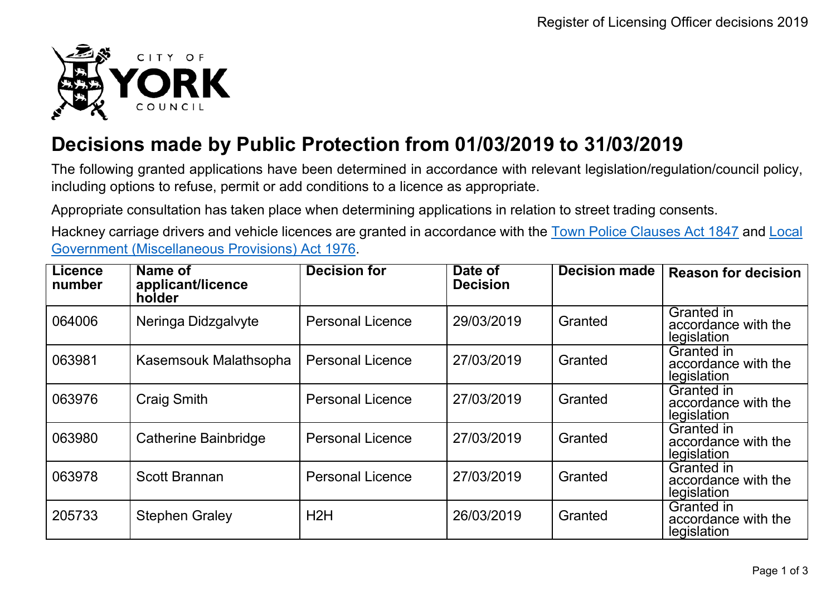

## **Decisions made by Public Protection from 01/03/2019 to 31/03/2019**

The following granted applications have been determined in accordance with relevant legislation/regulation/council policy, including options to refuse, permit or add conditions to a licence as appropriate.

Appropriate consultation has taken place when determining applications in relation to street trading consents.

Hackney carriage drivers and vehicle licences are granted in accordance with the Town Police [Clauses](http://www.legislation.gov.uk/ukpga/Vict/10-11/89) Act 1847 and [Local](http://www.legislation.gov.uk/ukpga/1976/57) [Government \(Miscellaneous Provisions\) Act 1976.](http://www.legislation.gov.uk/ukpga/1976/57)

| Licence<br>number | Name of<br>applicant/licence<br>holder | <b>Decision for</b>     | Date of<br><b>Decision</b> | <b>Decision made</b> | <b>Reason for decision</b>                       |
|-------------------|----------------------------------------|-------------------------|----------------------------|----------------------|--------------------------------------------------|
| 064006            | Neringa Didzgalvyte                    | <b>Personal Licence</b> | 29/03/2019                 | Granted              | Granted in<br>accordance with the<br>legislation |
| 063981            | Kasemsouk Malathsopha                  | <b>Personal Licence</b> | 27/03/2019                 | Granted              | Granted in<br>accordance with the<br>legislation |
| 063976            | <b>Craig Smith</b>                     | <b>Personal Licence</b> | 27/03/2019                 | Granted              | Granted in<br>accordance with the<br>legislation |
| 063980            | <b>Catherine Bainbridge</b>            | <b>Personal Licence</b> | 27/03/2019                 | Granted              | Granted in<br>accordance with the<br>legislation |
| 063978            | <b>Scott Brannan</b>                   | <b>Personal Licence</b> | 27/03/2019                 | Granted              | Granted in<br>accordance with the<br>legislation |
| 205733            | <b>Stephen Graley</b>                  | H2H                     | 26/03/2019                 | Granted              | Granted in<br>accordance with the<br>legislation |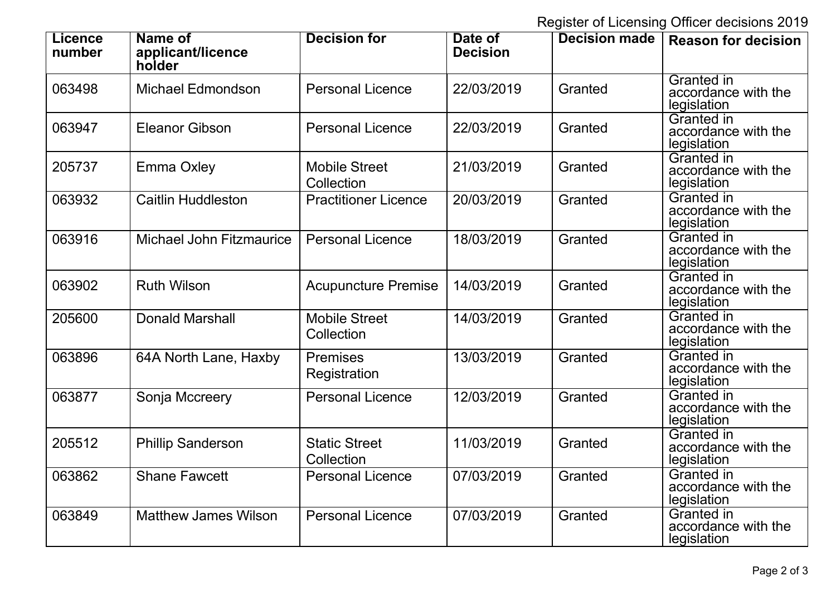Register of Licensing Officer decisions 2019

| <b>Licence</b><br>number | Name of<br>applicant/licence<br>holder | <b>Decision for</b>                | Date of<br><b>Decision</b> | <b>Decision made</b> | <b>Reason for decision</b>                              |
|--------------------------|----------------------------------------|------------------------------------|----------------------------|----------------------|---------------------------------------------------------|
| 063498                   | <b>Michael Edmondson</b>               | <b>Personal Licence</b>            | 22/03/2019                 | Granted              | <b>Granted</b> in<br>accordance with the<br>legislation |
| 063947                   | <b>Eleanor Gibson</b>                  | <b>Personal Licence</b>            | 22/03/2019                 | Granted              | <b>Granted in</b><br>accordance with the<br>legislation |
| 205737                   | <b>Emma Oxley</b>                      | <b>Mobile Street</b><br>Collection | 21/03/2019                 | Granted              | <b>Granted</b> in<br>accordance with the<br>legislation |
| 063932                   | <b>Caitlin Huddleston</b>              | <b>Practitioner Licence</b>        | 20/03/2019                 | Granted              | <b>Granted in</b><br>accordance with the<br>legislation |
| 063916                   | <b>Michael John Fitzmaurice</b>        | <b>Personal Licence</b>            | 18/03/2019                 | Granted              | Granted in<br>accordance with the<br>legislation        |
| 063902                   | <b>Ruth Wilson</b>                     | <b>Acupuncture Premise</b>         | 14/03/2019                 | Granted              | <b>Granted in</b><br>accordance with the<br>legislation |
| 205600                   | <b>Donald Marshall</b>                 | <b>Mobile Street</b><br>Collection | 14/03/2019                 | Granted              | <b>Granted in</b><br>accordance with the<br>legislation |
| 063896                   | 64A North Lane, Haxby                  | <b>Premises</b><br>Registration    | 13/03/2019                 | Granted              | <b>Granted in</b><br>accordance with the<br>legislation |
| 063877                   | Sonja Mccreery                         | <b>Personal Licence</b>            | 12/03/2019                 | Granted              | <b>Granted in</b><br>accordance with the<br>legislation |
| 205512                   | <b>Phillip Sanderson</b>               | <b>Static Street</b><br>Collection | 11/03/2019                 | Granted              | <b>Granted in</b><br>accordance with the<br>legislation |
| 063862                   | <b>Shane Fawcett</b>                   | <b>Personal Licence</b>            | 07/03/2019                 | Granted              | <b>Granted in</b><br>accordance with the<br>legislation |
| 063849                   | <b>Matthew James Wilson</b>            | <b>Personal Licence</b>            | 07/03/2019                 | Granted              | <b>Granted in</b><br>accordance with the<br>legislation |